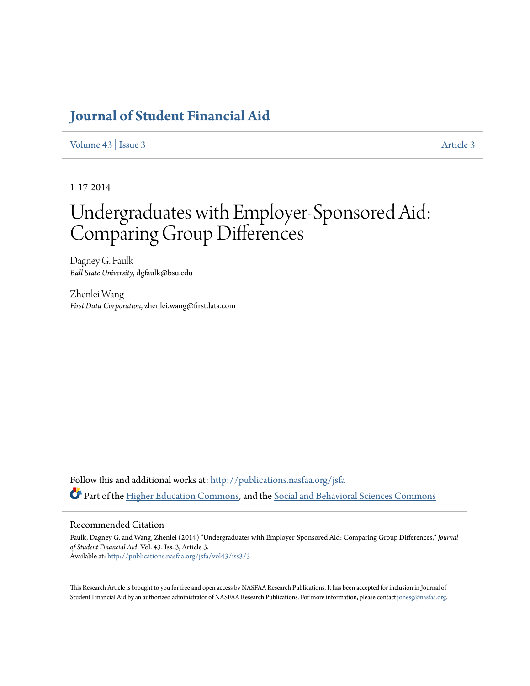## **[Journal of Student Financial Aid](http://publications.nasfaa.org/jsfa?utm_source=publications.nasfaa.org%2Fjsfa%2Fvol43%2Fiss3%2F3&utm_medium=PDF&utm_campaign=PDFCoverPages)**

[Volume 43](http://publications.nasfaa.org/jsfa/vol43?utm_source=publications.nasfaa.org%2Fjsfa%2Fvol43%2Fiss3%2F3&utm_medium=PDF&utm_campaign=PDFCoverPages) | [Issue 3](http://publications.nasfaa.org/jsfa/vol43/iss3?utm_source=publications.nasfaa.org%2Fjsfa%2Fvol43%2Fiss3%2F3&utm_medium=PDF&utm_campaign=PDFCoverPages) [Article 3](http://publications.nasfaa.org/jsfa/vol43/iss3/3?utm_source=publications.nasfaa.org%2Fjsfa%2Fvol43%2Fiss3%2F3&utm_medium=PDF&utm_campaign=PDFCoverPages)

1-17-2014

# Undergraduates with Employer-Sponsored Aid: Comparing Group Differences

Dagney G. Faulk *Ball State University*, dgfaulk@bsu.edu

Zhenlei Wang *First Data Corporation*, zhenlei.wang@firstdata.com

Follow this and additional works at: [http://publications.nasfaa.org/jsfa](http://publications.nasfaa.org/jsfa?utm_source=publications.nasfaa.org%2Fjsfa%2Fvol43%2Fiss3%2F3&utm_medium=PDF&utm_campaign=PDFCoverPages) Part of the [Higher Education Commons](http://network.bepress.com/hgg/discipline/1245?utm_source=publications.nasfaa.org%2Fjsfa%2Fvol43%2Fiss3%2F3&utm_medium=PDF&utm_campaign=PDFCoverPages), and the [Social and Behavioral Sciences Commons](http://network.bepress.com/hgg/discipline/316?utm_source=publications.nasfaa.org%2Fjsfa%2Fvol43%2Fiss3%2F3&utm_medium=PDF&utm_campaign=PDFCoverPages)

#### Recommended Citation

Faulk, Dagney G. and Wang, Zhenlei (2014) "Undergraduates with Employer-Sponsored Aid: Comparing Group Differences," *Journal of Student Financial Aid*: Vol. 43: Iss. 3, Article 3. Available at: [http://publications.nasfaa.org/jsfa/vol43/iss3/3](http://publications.nasfaa.org/jsfa/vol43/iss3/3?utm_source=publications.nasfaa.org%2Fjsfa%2Fvol43%2Fiss3%2F3&utm_medium=PDF&utm_campaign=PDFCoverPages)

This Research Article is brought to you for free and open access by NASFAA Research Publications. It has been accepted for inclusion in Journal of Student Financial Aid by an authorized administrator of NASFAA Research Publications. For more information, please contact [jonesg@nasfaa.org](mailto:jonesg@nasfaa.org).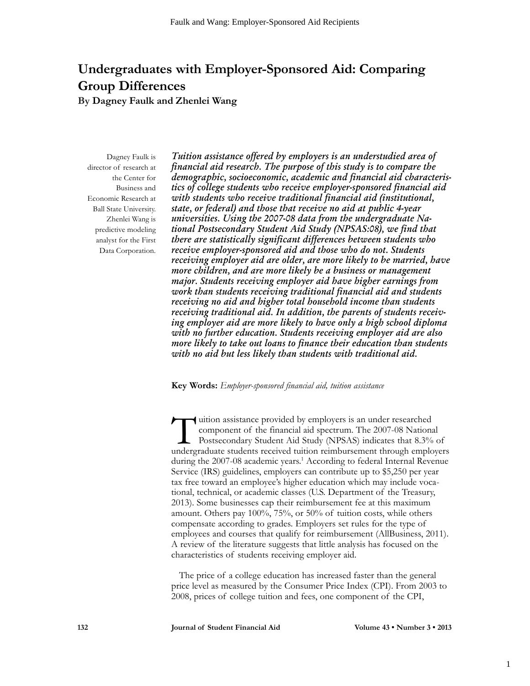# **Undergraduates with Employer-Sponsored Aid: Comparing Group Differences**

**By Dagney Faulk and Zhenlei Wang**

Dagney Faulk is director of research at the Center for Business and Economic Research at Ball State University. Zhenlei Wang is predictive modeling analyst for the First Data Corporation.

*Tuition assistance offered by employers is an understudied area of financial aid research. The purpose of this study is to compare the demographic, socioeconomic, academic and financial aid characteristics of college students who receive employer-sponsored financial aid with students who receive traditional financial aid (institutional, state, or federal) and those that receive no aid at public 4-year universities. Using the 2007-08 data from the undergraduate National Postsecondary Student Aid Study (NPSAS:08), we find that there are statistically significant differences between students who receive employer-sponsored aid and those who do not. Students receiving employer aid are older, are more likely to be married, have more children, and are more likely be a business or management major. Students receiving employer aid have higher earnings from work than students receiving traditional financial aid and students receiving no aid and higher total household income than students receiving traditional aid. In addition, the parents of students receiving employer aid are more likely to have only a high school diploma with no further education. Students receiving employer aid are also more likely to take out loans to finance their education than students with no aid but less likely than students with traditional aid.*

**Key Words:** *Employer-sponsored financial aid, tuition assistance*

Tuition assistance provided by employers is an under researched<br>component of the financial aid spectrum. The 2007-08 Nation<br>Postsecondary Student Aid Study (NPSAS) indicates that 8.3%<br>underpraduate students received tuitio component of the financial aid spectrum. The 2007-08 National Postsecondary Student Aid Study (NPSAS) indicates that 8.3% of undergraduate students received tuition reimbursement through employers during the 2007-08 academic years.<sup>1</sup> According to federal Internal Revenue Service (IRS) guidelines, employers can contribute up to \$5,250 per year tax free toward an employee's higher education which may include vocational, technical, or academic classes (U.S. Department of the Treasury, 2013). Some businesses cap their reimbursement fee at this maximum amount. Others pay 100%, 75%, or 50% of tuition costs, while others compensate according to grades. Employers set rules for the type of employees and courses that qualify for reimbursement (AllBusiness, 2011). A review of the literature suggests that little analysis has focused on the characteristics of students receiving employer aid.

The price of a college education has increased faster than the general price level as measured by the Consumer Price Index (CPI). From 2003 to 2008, prices of college tuition and fees, one component of the CPI,

**132 Journal of Student Financial Aid Volume 43 • Number 3 • 2013**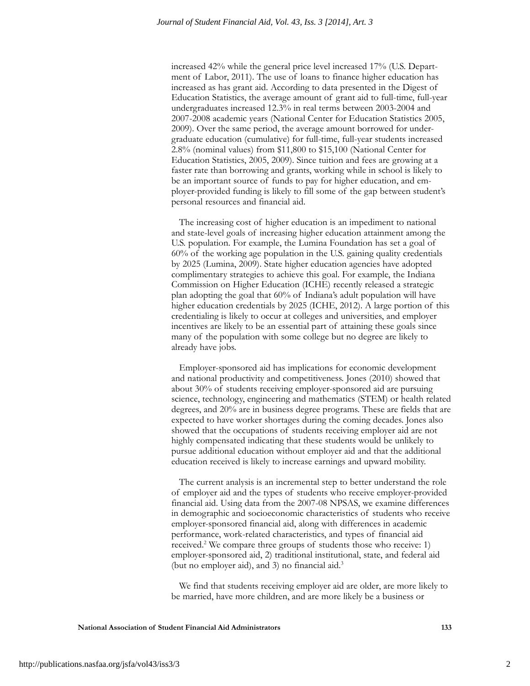increased 42% while the general price level increased 17% (U.S. Department of Labor, 2011). The use of loans to finance higher education has increased as has grant aid. According to data presented in the Digest of Education Statistics, the average amount of grant aid to full-time, full-year undergraduates increased 12.3% in real terms between 2003-2004 and 2007-2008 academic years (National Center for Education Statistics 2005, 2009). Over the same period, the average amount borrowed for undergraduate education (cumulative) for full-time, full-year students increased 2.8% (nominal values) from \$11,800 to \$15,100 (National Center for Education Statistics, 2005, 2009). Since tuition and fees are growing at a faster rate than borrowing and grants, working while in school is likely to be an important source of funds to pay for higher education, and employer-provided funding is likely to fill some of the gap between student's personal resources and financial aid.

The increasing cost of higher education is an impediment to national and state-level goals of increasing higher education attainment among the U.S. population. For example, the Lumina Foundation has set a goal of 60% of the working age population in the U.S. gaining quality credentials by 2025 (Lumina, 2009). State higher education agencies have adopted complimentary strategies to achieve this goal. For example, the Indiana Commission on Higher Education (ICHE) recently released a strategic plan adopting the goal that 60% of Indiana's adult population will have higher education credentials by 2025 (ICHE, 2012). A large portion of this credentialing is likely to occur at colleges and universities, and employer incentives are likely to be an essential part of attaining these goals since many of the population with some college but no degree are likely to already have jobs.

Employer-sponsored aid has implications for economic development and national productivity and competitiveness. Jones (2010) showed that about 30% of students receiving employer-sponsored aid are pursuing science, technology, engineering and mathematics (STEM) or health related degrees, and 20% are in business degree programs. These are fields that are expected to have worker shortages during the coming decades. Jones also showed that the occupations of students receiving employer aid are not highly compensated indicating that these students would be unlikely to pursue additional education without employer aid and that the additional education received is likely to increase earnings and upward mobility.

The current analysis is an incremental step to better understand the role of employer aid and the types of students who receive employer-provided financial aid. Using data from the 2007-08 NPSAS, we examine differences in demographic and socioeconomic characteristics of students who receive employer-sponsored financial aid, along with differences in academic performance, work-related characteristics, and types of financial aid received.<sup>2</sup> We compare three groups of students those who receive: 1) employer-sponsored aid, 2) traditional institutional, state, and federal aid (but no employer aid), and 3) no financial aid.3

We find that students receiving employer aid are older, are more likely to be married, have more children, and are more likely be a business or

**National Association of Student Financial Aid Administrators 133**

2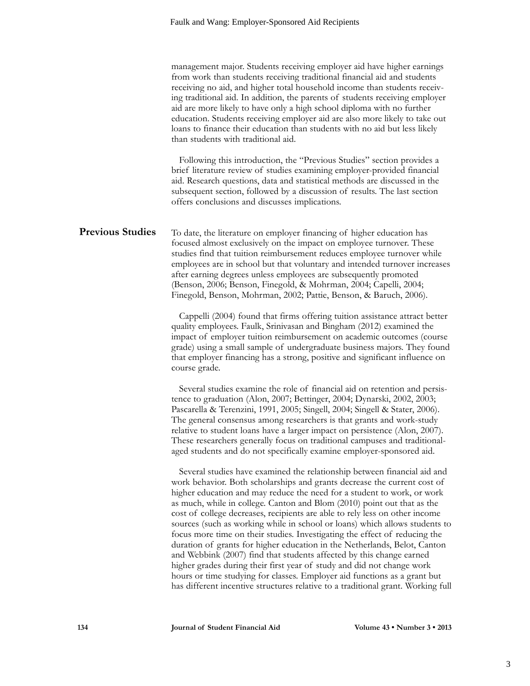|                         | management major. Students receiving employer aid have higher earnings<br>from work than students receiving traditional financial aid and students<br>receiving no aid, and higher total household income than students receiv-<br>ing traditional aid. In addition, the parents of students receiving employer<br>aid are more likely to have only a high school diploma with no further<br>education. Students receiving employer aid are also more likely to take out<br>loans to finance their education than students with no aid but less likely<br>than students with traditional aid.<br>Following this introduction, the "Previous Studies" section provides a<br>brief literature review of studies examining employer-provided financial<br>aid. Research questions, data and statistical methods are discussed in the<br>subsequent section, followed by a discussion of results. The last section<br>offers conclusions and discusses implications. |
|-------------------------|------------------------------------------------------------------------------------------------------------------------------------------------------------------------------------------------------------------------------------------------------------------------------------------------------------------------------------------------------------------------------------------------------------------------------------------------------------------------------------------------------------------------------------------------------------------------------------------------------------------------------------------------------------------------------------------------------------------------------------------------------------------------------------------------------------------------------------------------------------------------------------------------------------------------------------------------------------------|
| <b>Previous Studies</b> | To date, the literature on employer financing of higher education has<br>focused almost exclusively on the impact on employee turnover. These<br>studies find that tuition reimbursement reduces employee turnover while<br>employees are in school but that voluntary and intended turnover increases<br>after earning degrees unless employees are subsequently promoted<br>(Benson, 2006; Benson, Finegold, & Mohrman, 2004; Capelli, 2004;<br>Finegold, Benson, Mohrman, 2002; Pattie, Benson, & Baruch, 2006).                                                                                                                                                                                                                                                                                                                                                                                                                                              |
|                         | Cappelli (2004) found that firms offering tuition assistance attract better<br>quality employees. Faulk, Srinivasan and Bingham (2012) examined the<br>impact of employer tuition reimbursement on academic outcomes (course<br>grade) using a small sample of undergraduate business majors. They found<br>that employer financing has a strong, positive and significant influence on<br>course grade.                                                                                                                                                                                                                                                                                                                                                                                                                                                                                                                                                         |
|                         | Several studies examine the role of financial aid on retention and persis-<br>tence to graduation (Alon, 2007; Bettinger, 2004; Dynarski, 2002, 2003;<br>Pascarella & Terenzini, 1991, 2005; Singell, 2004; Singell & Stater, 2006).<br>The general consensus among researchers is that grants and work-study<br>relative to student loans have a larger impact on persistence (Alon, 2007).<br>These researchers generally focus on traditional campuses and traditional-<br>aged students and do not specifically examine employer-sponsored aid.                                                                                                                                                                                                                                                                                                                                                                                                              |
|                         | Several studies have examined the relationship between financial aid and<br>work behavior. Both scholarships and grants decrease the current cost of<br>higher education and may reduce the need for a student to work, or work<br>as much, while in college. Canton and Blom (2010) point out that as the<br>cost of college decreases, recipients are able to rely less on other income<br>sources (such as working while in school or loans) which allows students to<br>focus more time on their studies. Investigating the effect of reducing the<br>duration of grants for higher education in the Netherlands, Belot, Canton<br>and Webbink (2007) find that students affected by this change earned<br>higher grades during their first year of study and did not change work<br>hours or time studying for classes. Employer aid functions as a grant but<br>has different incentive structures relative to a traditional grant. Working full           |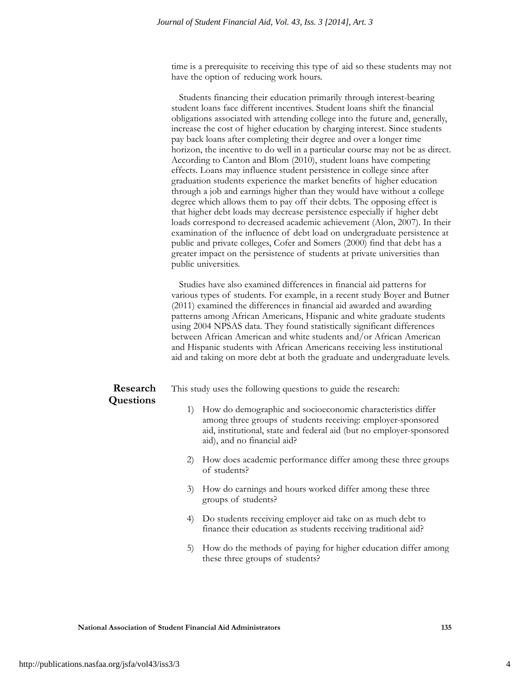time is a prerequisite to receiving this type of aid so these students may not have the option of reducing work hours.

Students financing their education primarily through interest-bearing student loans face different incentives. Student loans shift the financial obligations associated with attending college into the future and, generally, increase the cost of higher education by charging interest. Since students pay back loans after completing their degree and over a longer time horizon, the incentive to do well in a particular course may not be as direct. According to Canton and Blom (2010), student loans have competing effects. Loans may influence student persistence in college since after graduation students experience the market benefits of higher education through a job and earnings higher than they would have without a college degree which allows them to pay off their debts. The opposing effect is that higher debt loads may decrease persistence especially if higher debt loads correspond to decreased academic achievement (Alon, 2007). In their examination of the influence of debt load on undergraduate persistence at public and private colleges, Cofer and Somers (2000) find that debt has a greater impact on the persistence of students at private universities than public universities.

Studies have also examined differences in financial aid patterns for various types of students. For example, in a recent study Boyer and Butner (2011) examined the differences in financial aid awarded and awarding patterns among African Americans, Hispanic and white graduate students using 2004 NPSAS data. They found statistically significant differences between African American and white students and/or African American and Hispanic students with African Americans receiving less institutional aid and taking on more debt at both the graduate and undergraduate levels.

#### **Research Questions**

This study uses the following questions to guide the research:

- 1) How do demographic and socioeconomic characteristics differ among three groups of students receiving: employer-sponsored aid, institutional, state and federal aid (but no employer-sponsored aid), and no financial aid?
- 2) How does academic performance differ among these three groups of students?
- 3) How do earnings and hours worked differ among these three groups of students?
- 4) Do students receiving employer aid take on as much debt to finance their education as students receiving traditional aid?
- 5) How do the methods of paying for higher education differ among these three groups of students?

4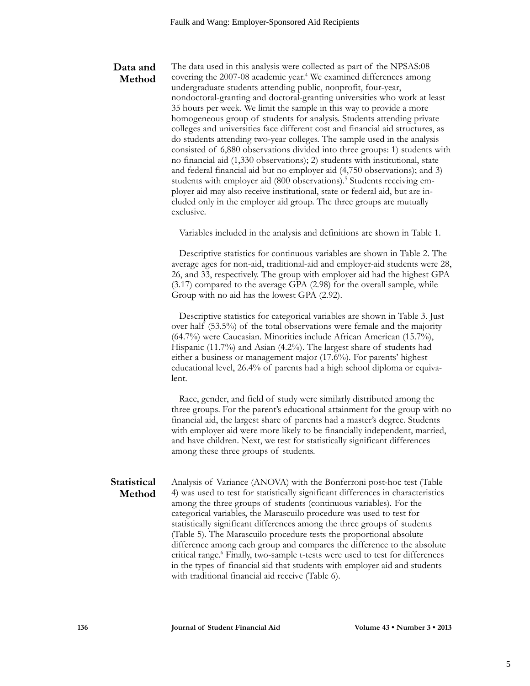#### The data used in this analysis were collected as part of the NPSAS:08 covering the 2007-08 academic year.<sup>4</sup> We examined differences among undergraduate students attending public, nonprofit, four-year, nondoctoral-granting and doctoral-granting universities who work at least 35 hours per week. We limit the sample in this way to provide a more homogeneous group of students for analysis. Students attending private colleges and universities face different cost and financial aid structures, as do students attending two-year colleges. The sample used in the analysis consisted of 6,880 observations divided into three groups: 1) students with no financial aid (1,330 observations); 2) students with institutional, state and federal financial aid but no employer aid (4,750 observations); and 3) students with employer aid (800 observations).<sup>5</sup> Students receiving employer aid may also receive institutional, state or federal aid, but are included only in the employer aid group. The three groups are mutually **Data and Method**

exclusive.

Variables included in the analysis and definitions are shown in Table 1.

Descriptive statistics for continuous variables are shown in Table 2. The average ages for non-aid, traditional-aid and employer-aid students were 28, 26, and 33, respectively. The group with employer aid had the highest GPA (3.17) compared to the average GPA (2.98) for the overall sample, while Group with no aid has the lowest GPA (2.92).

Descriptive statistics for categorical variables are shown in Table 3. Just over half (53.5%) of the total observations were female and the majority (64.7%) were Caucasian. Minorities include African American (15.7%), Hispanic (11.7%) and Asian (4.2%). The largest share of students had either a business or management major (17.6%). For parents' highest educational level, 26.4% of parents had a high school diploma or equivalent.

Race, gender, and field of study were similarly distributed among the three groups. For the parent's educational attainment for the group with no financial aid, the largest share of parents had a master's degree. Students with employer aid were more likely to be financially independent, married, and have children. Next, we test for statistically significant differences among these three groups of students.

#### Analysis of Variance (ANOVA) with the Bonferroni post-hoc test (Table 4) was used to test for statistically significant differences in characteristics among the three groups of students (continuous variables). For the categorical variables, the Marascuilo procedure was used to test for statistically significant differences among the three groups of students (Table 5). The Marascuilo procedure tests the proportional absolute difference among each group and compares the difference to the absolute critical range.6 Finally, two-sample t-tests were used to test for differences in the types of financial aid that students with employer aid and students with traditional financial aid receive (Table 6). **Statistical Method**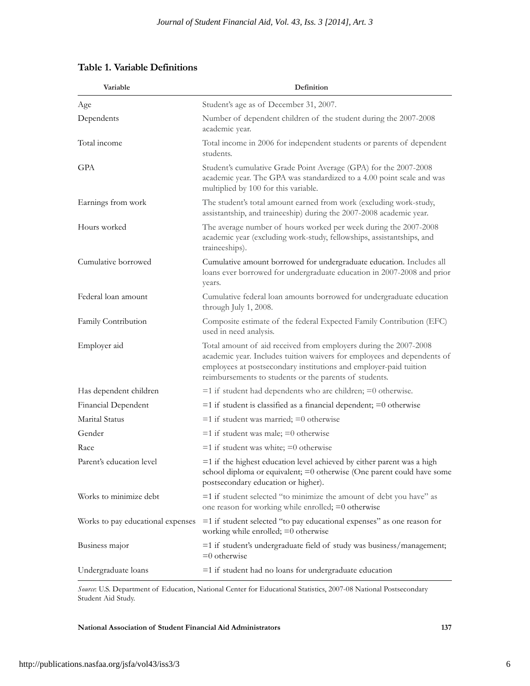| Variable                          | Definition                                                                                                                                                                                                                                                                 |  |  |  |  |  |
|-----------------------------------|----------------------------------------------------------------------------------------------------------------------------------------------------------------------------------------------------------------------------------------------------------------------------|--|--|--|--|--|
| Age                               | Student's age as of December 31, 2007.                                                                                                                                                                                                                                     |  |  |  |  |  |
| Dependents                        | Number of dependent children of the student during the 2007-2008<br>academic year.                                                                                                                                                                                         |  |  |  |  |  |
| Total income                      | Total income in 2006 for independent students or parents of dependent<br>students.                                                                                                                                                                                         |  |  |  |  |  |
| <b>GPA</b>                        | Student's cumulative Grade Point Average (GPA) for the 2007-2008<br>academic year. The GPA was standardized to a 4.00 point scale and was<br>multiplied by 100 for this variable.                                                                                          |  |  |  |  |  |
| Earnings from work                | The student's total amount earned from work (excluding work-study,<br>assistantship, and traineeship) during the 2007-2008 academic year.                                                                                                                                  |  |  |  |  |  |
| Hours worked                      | The average number of hours worked per week during the 2007-2008<br>academic year (excluding work-study, fellowships, assistantships, and<br>traineeships).                                                                                                                |  |  |  |  |  |
| Cumulative borrowed               | Cumulative amount borrowed for undergraduate education. Includes all<br>loans ever borrowed for undergraduate education in 2007-2008 and prior<br>years.                                                                                                                   |  |  |  |  |  |
| Federal loan amount               | Cumulative federal loan amounts borrowed for undergraduate education<br>through July 1, 2008.                                                                                                                                                                              |  |  |  |  |  |
| Family Contribution               | Composite estimate of the federal Expected Family Contribution (EFC)<br>used in need analysis.                                                                                                                                                                             |  |  |  |  |  |
| Employer aid                      | Total amount of aid received from employers during the 2007-2008<br>academic year. Includes tuition waivers for employees and dependents of<br>employees at postsecondary institutions and employer-paid tuition<br>reimbursements to students or the parents of students. |  |  |  |  |  |
| Has dependent children            | $=$ 1 if student had dependents who are children; $=$ 0 otherwise.                                                                                                                                                                                                         |  |  |  |  |  |
| Financial Dependent               | $=$ 1 if student is classified as a financial dependent; $=$ 0 otherwise                                                                                                                                                                                                   |  |  |  |  |  |
| Marital Status                    | $=$ 1 if student was married; $=$ 0 otherwise                                                                                                                                                                                                                              |  |  |  |  |  |
| Gender                            | $=$ 1 if student was male; $=$ 0 otherwise                                                                                                                                                                                                                                 |  |  |  |  |  |
| Race                              | $=$ 1 if student was white; $=$ 0 otherwise                                                                                                                                                                                                                                |  |  |  |  |  |
| Parent's education level          | $=$ 1 if the highest education level achieved by either parent was a high<br>school diploma or equivalent; =0 otherwise (One parent could have some<br>postsecondary education or higher).                                                                                 |  |  |  |  |  |
| Works to minimize debt            | $=$ 1 if student selected "to minimize the amount of debt you have" as<br>one reason for working while enrolled; $=0$ otherwise                                                                                                                                            |  |  |  |  |  |
| Works to pay educational expenses | $=$ 1 if student selected "to pay educational expenses" as one reason for<br>working while enrolled; =0 otherwise                                                                                                                                                          |  |  |  |  |  |
| Business major                    | =1 if student's undergraduate field of study was business/management;<br>$=0$ otherwise                                                                                                                                                                                    |  |  |  |  |  |
| Undergraduate loans               | $=$ 1 if student had no loans for undergraduate education                                                                                                                                                                                                                  |  |  |  |  |  |

*Source*: U.S. Department of Education, National Center for Educational Statistics, 2007-08 National Postsecondary Student Aid Study.

**National Association of Student Financial Aid Administrators 137**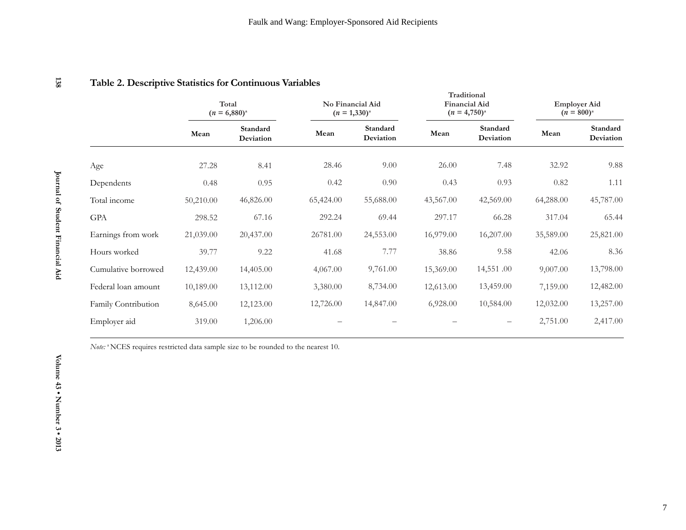|                     | Total<br>$(n = 6,880)^{a}$ |                       | No Financial Aid<br>$(n = 1,330)^{a}$ |                       | Traditional<br><b>Financial Aid</b><br>$(n = 4,750)^{a}$ |                       | <b>Employer Aid</b><br>$(n = 800)^{a}$ |                       |
|---------------------|----------------------------|-----------------------|---------------------------------------|-----------------------|----------------------------------------------------------|-----------------------|----------------------------------------|-----------------------|
|                     | Mean                       | Standard<br>Deviation | Mean                                  | Standard<br>Deviation | Mean                                                     | Standard<br>Deviation | Mean                                   | Standard<br>Deviation |
| Age                 | 27.28                      | 8.41                  | 28.46                                 | 9.00                  | 26.00                                                    | 7.48                  | 32.92                                  | 9.88                  |
| Dependents          | 0.48                       | 0.95                  | 0.42                                  | 0.90                  | 0.43                                                     | 0.93                  | 0.82                                   | 1.11                  |
| Total income        | 50,210.00                  | 46,826.00             | 65,424.00                             | 55,688.00             | 43,567.00                                                | 42,569.00             | 64,288.00                              | 45,787.00             |
| $\mbox{GPA}$        | 298.52                     | 67.16                 | 292.24                                | 69.44                 | 297.17                                                   | 66.28                 | 317.04                                 | 65.44                 |
| Earnings from work  | 21,039.00                  | 20,437.00             | 26781.00                              | 24,553.00             | 16,979.00                                                | 16,207.00             | 35,589.00                              | 25,821.00             |
| Hours worked        | 39.77                      | 9.22                  | 41.68                                 | 7.77                  | 38.86                                                    | 9.58                  | 42.06                                  | 8.36                  |
| Cumulative borrowed | 12,439.00                  | 14,405.00             | 4,067.00                              | 9,761.00              | 15,369.00                                                | 14,551.00             | 9,007.00                               | 13,798.00             |
| Federal loan amount | 10,189.00                  | 13,112.00             | 3,380.00                              | 8,734.00              | 12,613.00                                                | 13,459.00             | 7,159.00                               | 12,482.00             |
| Family Contribution | 8,645.00                   | 12,123.00             | 12,726.00                             | 14,847.00             | 6,928.00                                                 | 10,584.00             | 12,032.00                              | 13,257.00             |
| Employer aid        | 319.00                     | 1,206.00              |                                       |                       |                                                          | $\qquad \qquad -$     | 2,751.00                               | 2,417.00              |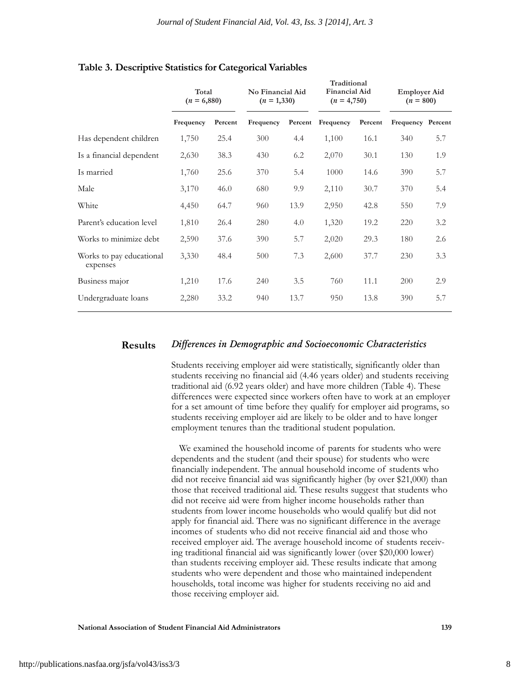**Traditional**

|                                      | Total<br>$(n = 6,880)$ |         | No Financial Aid<br>$(n = 1,330)$ |      | <b>Financial Aid</b><br>$(n = 4,750)$ |         | <b>Employer Aid</b><br>$(n = 800)$ |     |
|--------------------------------------|------------------------|---------|-----------------------------------|------|---------------------------------------|---------|------------------------------------|-----|
|                                      | Frequency              | Percent | Frequency                         |      | Percent Frequency                     | Percent | Frequency Percent                  |     |
| Has dependent children               | 1,750                  | 25.4    | 300                               | 4.4  | 1,100                                 | 16.1    | 340                                | 5.7 |
| Is a financial dependent             | 2,630                  | 38.3    | 430                               | 6.2  | 2,070                                 | 30.1    | 130                                | 1.9 |
| Is married                           | 1,760                  | 25.6    | 370                               | 5.4  | 1000                                  | 14.6    | 390                                | 5.7 |
| Male                                 | 3,170                  | 46.0    | 680                               | 9.9  | 2,110                                 | 30.7    | 370                                | 5.4 |
| White                                | 4,450                  | 64.7    | 960                               | 13.9 | 2,950                                 | 42.8    | 550                                | 7.9 |
| Parent's education level             | 1,810                  | 26.4    | 280                               | 4.0  | 1,320                                 | 19.2    | 220                                | 3.2 |
| Works to minimize debt               | 2,590                  | 37.6    | 390                               | 5.7  | 2,020                                 | 29.3    | 180                                | 2.6 |
| Works to pay educational<br>expenses | 3,330                  | 48.4    | 500                               | 7.3  | 2,600                                 | 37.7    | 230                                | 3.3 |
| Business major                       | 1,210                  | 17.6    | 240                               | 3.5  | 760                                   | 11.1    | 200                                | 2.9 |
| Undergraduate loans                  | 2,280                  | 33.2    | 940                               | 13.7 | 950                                   | 13.8    | 390                                | 5.7 |

#### **Table 3. Descriptive Statistics for Categorical Variables**

#### *Differences in Demographic and Socioeconomic Characteristics* **Results**

Students receiving employer aid were statistically, significantly older than students receiving no financial aid (4.46 years older) and students receiving traditional aid (6.92 years older) and have more children (Table 4). These differences were expected since workers often have to work at an employer for a set amount of time before they qualify for employer aid programs, so students receiving employer aid are likely to be older and to have longer employment tenures than the traditional student population.

We examined the household income of parents for students who were dependents and the student (and their spouse) for students who were financially independent. The annual household income of students who did not receive financial aid was significantly higher (by over \$21,000) than those that received traditional aid. These results suggest that students who did not receive aid were from higher income households rather than students from lower income households who would qualify but did not apply for financial aid. There was no significant difference in the average incomes of students who did not receive financial aid and those who received employer aid. The average household income of students receiving traditional financial aid was significantly lower (over \$20,000 lower) than students receiving employer aid. These results indicate that among students who were dependent and those who maintained independent households, total income was higher for students receiving no aid and those receiving employer aid.

**National Association of Student Financial Aid Administrators 139**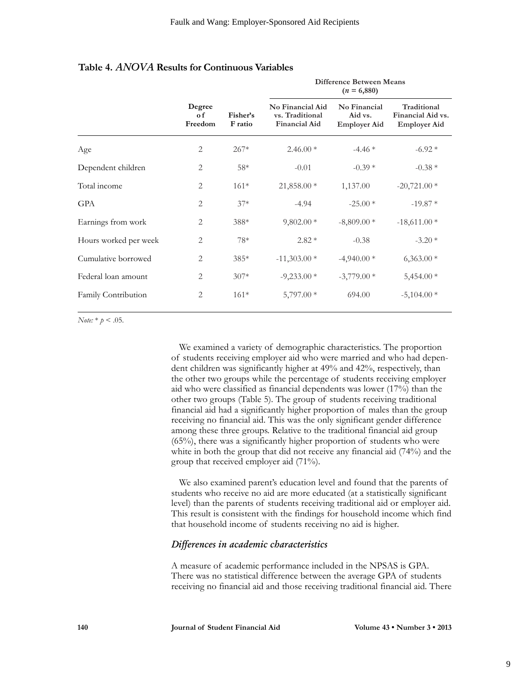**Difference Between Means**

|                       |                                 |                     | $(n = 6,880)$                                               |                                                |                                                         |  |  |  |  |
|-----------------------|---------------------------------|---------------------|-------------------------------------------------------------|------------------------------------------------|---------------------------------------------------------|--|--|--|--|
|                       | Degree<br>$\alpha$ f<br>Freedom | Fisher's<br>F ratio | No Financial Aid<br>vs. Traditional<br><b>Financial Aid</b> | No Financial<br>Aid vs.<br><b>Employer Aid</b> | Traditional<br>Financial Aid vs.<br><b>Employer Aid</b> |  |  |  |  |
| Age                   | 2                               | $267*$              | $2.46.00*$                                                  | $-4.46*$                                       | $-6.92*$                                                |  |  |  |  |
| Dependent children    | 2                               | $58*$               | $-0.01$                                                     | $-0.39*$                                       | $-0.38*$                                                |  |  |  |  |
| Total income          | $\overline{2}$                  | $161*$              | $21,858.00*$                                                | 1,137.00                                       | $-20,721.00*$                                           |  |  |  |  |
| <b>GPA</b>            | 2                               | $37*$               | $-4.94$                                                     | $-25.00*$                                      | $-19.87*$                                               |  |  |  |  |
| Earnings from work    | 2                               | 388*                | $9,802.00*$                                                 | $-8,809.00*$                                   | $-18,611.00*$                                           |  |  |  |  |
| Hours worked per week | 2                               | 78*                 | $2.82*$                                                     | $-0.38$                                        | $-3.20*$                                                |  |  |  |  |
| Cumulative borrowed   | 2                               | $385*$              | $-11,303.00*$                                               | $-4,940.00*$                                   | $6,363.00*$                                             |  |  |  |  |
| Federal loan amount   | 2                               | $307*$              | $-9,233.00*$                                                | $-3,779.00*$                                   | $5,454.00*$                                             |  |  |  |  |
| Family Contribution   | 2                               | $161*$              | $5,797.00*$                                                 | 694.00                                         | $-5,104.00*$                                            |  |  |  |  |

#### **Table 4.** *ANOVA* **Results for Continuous Variables**

*Note:*  $*$   $p < .05$ .

We examined a variety of demographic characteristics. The proportion of students receiving employer aid who were married and who had dependent children was significantly higher at 49% and 42%, respectively, than the other two groups while the percentage of students receiving employer aid who were classified as financial dependents was lower (17%) than the other two groups (Table 5). The group of students receiving traditional financial aid had a significantly higher proportion of males than the group receiving no financial aid. This was the only significant gender difference among these three groups. Relative to the traditional financial aid group (65%), there was a significantly higher proportion of students who were white in both the group that did not receive any financial aid (74%) and the group that received employer aid (71%).

We also examined parent's education level and found that the parents of students who receive no aid are more educated (at a statistically significant level) than the parents of students receiving traditional aid or employer aid. This result is consistent with the findings for household income which find that household income of students receiving no aid is higher.

#### *Differences in academic characteristics*

A measure of academic performance included in the NPSAS is GPA. There was no statistical difference between the average GPA of students receiving no financial aid and those receiving traditional financial aid. There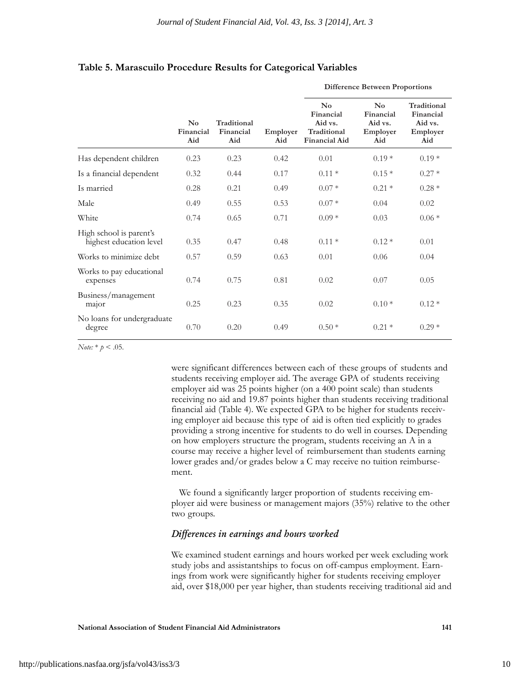**Difference Between Proportions**

|                                                    | $\mathbf{N}\mathbf{o}$<br>Financial<br>Aid | Traditional<br>Financial<br>Aid | Employer<br>Aid | $\mathbf{N}\mathbf{o}$<br>Financial<br>Aid vs.<br>Traditional<br><b>Financial Aid</b> | $\mathbf{N}\mathbf{o}$<br>Financial<br>Aid vs.<br>Employer<br>Aid | Traditional<br>Financial<br>Aid vs.<br>Employer<br>Aid |
|----------------------------------------------------|--------------------------------------------|---------------------------------|-----------------|---------------------------------------------------------------------------------------|-------------------------------------------------------------------|--------------------------------------------------------|
| Has dependent children                             | 0.23                                       | 0.23                            | 0.42            | 0.01                                                                                  | $0.19*$                                                           | $0.19*$                                                |
| Is a financial dependent                           | 0.32                                       | 0.44                            | 0.17            | $0.11*$                                                                               | $0.15*$                                                           | $0.27*$                                                |
| Is married                                         | 0.28                                       | 0.21                            | 0.49            | $0.07*$                                                                               | $0.21*$                                                           | $0.28*$                                                |
| Male                                               | 0.49                                       | 0.55                            | 0.53            | $0.07*$                                                                               | 0.04                                                              | 0.02                                                   |
| White                                              | 0.74                                       | 0.65                            | 0.71            | $0.09*$                                                                               | 0.03                                                              | $0.06*$                                                |
| High school is parent's<br>highest education level | 0.35                                       | 0.47                            | 0.48            | $0.11*$                                                                               | $0.12*$                                                           | 0.01                                                   |
| Works to minimize debt                             | 0.57                                       | 0.59                            | 0.63            | 0.01                                                                                  | 0.06                                                              | 0.04                                                   |
| Works to pay educational<br>expenses               | 0.74                                       | 0.75                            | 0.81            | 0.02                                                                                  | 0.07                                                              | 0.05                                                   |
| Business/management<br>major                       | 0.25                                       | 0.23                            | 0.35            | 0.02                                                                                  | $0.10*$                                                           | $0.12*$                                                |
| No loans for undergraduate<br>degree               | 0.70                                       | 0.20                            | 0.49            | $0.50*$                                                                               | $0.21*$                                                           | $0.29*$                                                |

#### **Table 5. Marascuilo Procedure Results for Categorical Variables**

*Note:* \* *p* < .05.

were significant differences between each of these groups of students and students receiving employer aid. The average GPA of students receiving employer aid was 25 points higher (on a 400 point scale) than students receiving no aid and 19.87 points higher than students receiving traditional financial aid (Table 4). We expected GPA to be higher for students receiving employer aid because this type of aid is often tied explicitly to grades providing a strong incentive for students to do well in courses. Depending on how employers structure the program, students receiving an A in a course may receive a higher level of reimbursement than students earning lower grades and/or grades below a C may receive no tuition reimbursement.

We found a significantly larger proportion of students receiving employer aid were business or management majors (35%) relative to the other two groups.

#### *Differences in earnings and hours worked*

We examined student earnings and hours worked per week excluding work study jobs and assistantships to focus on off-campus employment. Earnings from work were significantly higher for students receiving employer aid, over \$18,000 per year higher, than students receiving traditional aid and

**National Association of Student Financial Aid Administrators 141**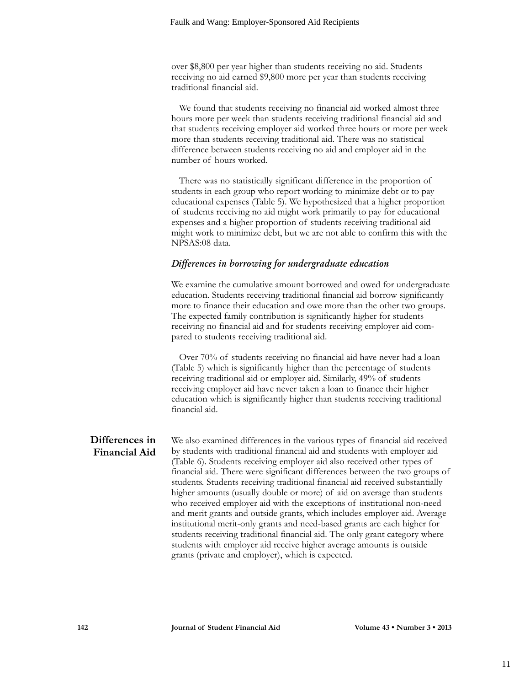over \$8,800 per year higher than students receiving no aid. Students receiving no aid earned \$9,800 more per year than students receiving traditional financial aid.

We found that students receiving no financial aid worked almost three hours more per week than students receiving traditional financial aid and that students receiving employer aid worked three hours or more per week more than students receiving traditional aid. There was no statistical difference between students receiving no aid and employer aid in the number of hours worked.

There was no statistically significant difference in the proportion of students in each group who report working to minimize debt or to pay educational expenses (Table 5). We hypothesized that a higher proportion of students receiving no aid might work primarily to pay for educational expenses and a higher proportion of students receiving traditional aid might work to minimize debt, but we are not able to confirm this with the NPSAS:08 data.

#### *Differences in borrowing for undergraduate education*

We examine the cumulative amount borrowed and owed for undergraduate education. Students receiving traditional financial aid borrow significantly more to finance their education and owe more than the other two groups. The expected family contribution is significantly higher for students receiving no financial aid and for students receiving employer aid compared to students receiving traditional aid.

Over 70% of students receiving no financial aid have never had a loan (Table 5) which is significantly higher than the percentage of students receiving traditional aid or employer aid. Similarly, 49% of students receiving employer aid have never taken a loan to finance their higher education which is significantly higher than students receiving traditional financial aid.

### **Differences in Financial Aid**

We also examined differences in the various types of financial aid received by students with traditional financial aid and students with employer aid (Table 6). Students receiving employer aid also received other types of financial aid. There were significant differences between the two groups of students. Students receiving traditional financial aid received substantially higher amounts (usually double or more) of aid on average than students who received employer aid with the exceptions of institutional non-need and merit grants and outside grants, which includes employer aid. Average institutional merit-only grants and need-based grants are each higher for students receiving traditional financial aid. The only grant category where students with employer aid receive higher average amounts is outside grants (private and employer), which is expected.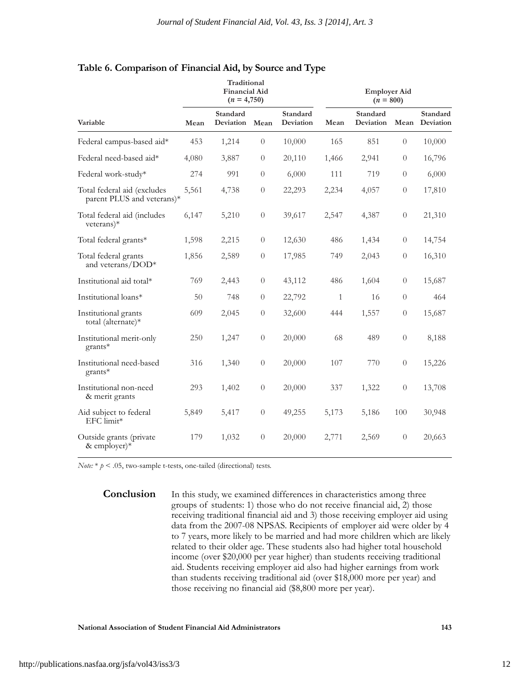**Traditional**

|                                                           |       | птачниопат<br>Financial Aid<br>$(n = 4,750)$ |                  | <b>Employer Aid</b><br>$(n = 800)$ |              |                       |                  |                       |
|-----------------------------------------------------------|-------|----------------------------------------------|------------------|------------------------------------|--------------|-----------------------|------------------|-----------------------|
| Variable                                                  | Mean  | Standard<br>Deviation                        | Mean             | Standard<br>Deviation              | Mean         | Standard<br>Deviation | Mean             | Standard<br>Deviation |
| Federal campus-based aid*                                 | 453   | 1,214                                        | $\overline{0}$   | 10,000                             | 165          | 851                   | $\theta$         | 10,000                |
| Federal need-based aid*                                   | 4,080 | 3,887                                        | $\theta$         | 20,110                             | 1,466        | 2,941                 | $\theta$         | 16,796                |
| Federal work-study*                                       | 274   | 991                                          | $\overline{0}$   | 6,000                              | 111          | 719                   | $\theta$         | 6,000                 |
| Total federal aid (excludes<br>parent PLUS and veterans)* | 5,561 | 4,738                                        | $\theta$         | 22,293                             | 2,234        | 4,057                 | $\theta$         | 17,810                |
| Total federal aid (includes<br>$veterans)*$               | 6,147 | 5,210                                        | $\boldsymbol{0}$ | 39,617                             | 2,547        | 4,387                 | $\boldsymbol{0}$ | 21,310                |
| Total federal grants*                                     | 1,598 | 2,215                                        | $\overline{0}$   | 12,630                             | 486          | 1,434                 | $\theta$         | 14,754                |
| Total federal grants<br>and veterans/DOD*                 | 1,856 | 2,589                                        | $\boldsymbol{0}$ | 17,985                             | 749          | 2,043                 | $\overline{0}$   | 16,310                |
| Institutional aid total*                                  | 769   | 2,443                                        | $\boldsymbol{0}$ | 43,112                             | 486          | 1,604                 | $\boldsymbol{0}$ | 15,687                |
| Institutional loans*                                      | 50    | 748                                          | $\theta$         | 22,792                             | $\mathbf{1}$ | 16                    | $\theta$         | 464                   |
| Institutional grants<br>total (alternate)*                | 609   | 2,045                                        | $\boldsymbol{0}$ | 32,600                             | 444          | 1,557                 | $\overline{0}$   | 15,687                |
| Institutional merit-only<br>$grants*$                     | 250   | 1,247                                        | $\theta$         | 20,000                             | 68           | 489                   | $\overline{0}$   | 8,188                 |
| Institutional need-based<br>grants*                       | 316   | 1,340                                        | $\boldsymbol{0}$ | 20,000                             | 107          | 770                   | $\theta$         | 15,226                |
| Institutional non-need<br>& merit grants                  | 293   | 1,402                                        | $\boldsymbol{0}$ | 20,000                             | 337          | 1,322                 | $\overline{0}$   | 13,708                |
| Aid subject to federal<br>EFC limit*                      | 5,849 | 5,417                                        | $\boldsymbol{0}$ | 49,255                             | 5,173        | 5,186                 | 100              | 30,948                |
| Outside grants (private<br>& employer) $*$                | 179   | 1,032                                        | $\overline{0}$   | 20,000                             | 2,771        | 2,569                 | $\theta$         | 20,663                |
|                                                           |       |                                              |                  |                                    |              |                       |                  |                       |

#### **Table 6. Comparison of Financial Aid, by Source and Type**

*Note:* \* *p* < .05, two-sample t-tests, one-tailed (directional) tests.

**Conclusion** In this study, we examined differences in characteristics among three groups of students: 1) those who do not receive financial aid, 2) those receiving traditional financial aid and 3) those receiving employer aid using data from the 2007-08 NPSAS. Recipients of employer aid were older by 4 to 7 years, more likely to be married and had more children which are likely related to their older age. These students also had higher total household income (over \$20,000 per year higher) than students receiving traditional aid. Students receiving employer aid also had higher earnings from work than students receiving traditional aid (over \$18,000 more per year) and those receiving no financial aid (\$8,800 more per year).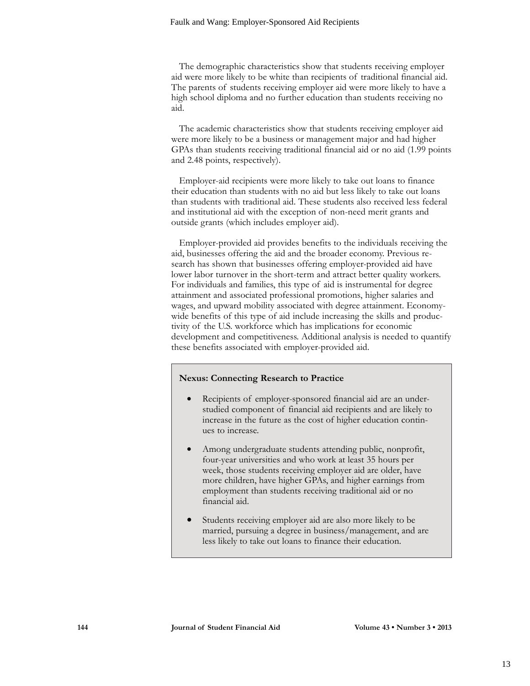The demographic characteristics show that students receiving employer aid were more likely to be white than recipients of traditional financial aid. The parents of students receiving employer aid were more likely to have a high school diploma and no further education than students receiving no aid.

The academic characteristics show that students receiving employer aid were more likely to be a business or management major and had higher GPAs than students receiving traditional financial aid or no aid (1.99 points and 2.48 points, respectively).

Employer-aid recipients were more likely to take out loans to finance their education than students with no aid but less likely to take out loans than students with traditional aid. These students also received less federal and institutional aid with the exception of non-need merit grants and outside grants (which includes employer aid).

Employer-provided aid provides benefits to the individuals receiving the aid, businesses offering the aid and the broader economy. Previous research has shown that businesses offering employer-provided aid have lower labor turnover in the short-term and attract better quality workers. For individuals and families, this type of aid is instrumental for degree attainment and associated professional promotions, higher salaries and wages, and upward mobility associated with degree attainment. Economywide benefits of this type of aid include increasing the skills and productivity of the U.S. workforce which has implications for economic development and competitiveness. Additional analysis is needed to quantify these benefits associated with employer-provided aid.

#### **Nexus: Connecting Research to Practice**

- Recipients of employer-sponsored financial aid are an understudied component of financial aid recipients and are likely to increase in the future as the cost of higher education continues to increase.
- Among undergraduate students attending public, nonprofit, four-year universities and who work at least 35 hours per week, those students receiving employer aid are older, have more children, have higher GPAs, and higher earnings from employment than students receiving traditional aid or no financial aid.
- Students receiving employer aid are also more likely to be married, pursuing a degree in business/management, and are less likely to take out loans to finance their education.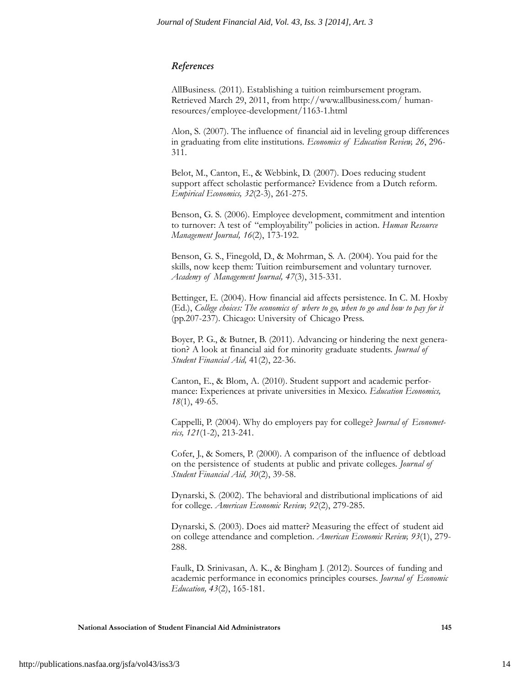#### *References*

AllBusiness. (2011). Establishing a tuition reimbursement program. Retrieved March 29, 2011, from http://www.allbusiness.com/ humanresources/employee-development/1163-1.html

Alon, S. (2007). The influence of financial aid in leveling group differences in graduating from elite institutions. *Economics of Education Review, 26*, 296- 311.

Belot, M., Canton, E., & Webbink, D. (2007). Does reducing student support affect scholastic performance? Evidence from a Dutch reform. *Empirical Economics, 32*(2-3), 261-275.

Benson, G. S. (2006). Employee development, commitment and intention to turnover: A test of "employability" policies in action. *Human Resource Management Journal, 16*(2), 173-192.

Benson, G. S., Finegold, D., & Mohrman, S. A. (2004). You paid for the skills, now keep them: Tuition reimbursement and voluntary turnover. *Academy of Management Journal, 47*(3), 315-331.

Bettinger, E. (2004). How financial aid affects persistence. In C. M. Hoxby (Ed.), *College choices: The economics of where to go, when to go and how to pay for it* (pp.207-237). Chicago: University of Chicago Press.

Boyer, P. G., & Butner, B. (2011). Advancing or hindering the next generation? A look at financial aid for minority graduate students. *Journal of Student Financial Aid,* 41(2), 22-36.

Canton, E., & Blom, A. (2010). Student support and academic performance: Experiences at private universities in Mexico. *Education Economics, 18*(1), 49-65.

Cappelli, P. (2004). Why do employers pay for college? *Journal of Econometrics, 121*(1-2), 213-241.

Cofer, J., & Somers, P. (2000). A comparison of the influence of debtload on the persistence of students at public and private colleges. *Journal of Student Financial Aid, 30*(2), 39-58.

Dynarski, S. (2002). The behavioral and distributional implications of aid for college. *American Economic Review, 92*(2), 279-285.

Dynarski, S. (2003). Does aid matter? Measuring the effect of student aid on college attendance and completion. *American Economic Review, 93*(1), 279- 288.

Faulk, D. Srinivasan, A. K., & Bingham J. (2012). Sources of funding and academic performance in economics principles courses. *Journal of Economic Education, 43*(2), 165-181.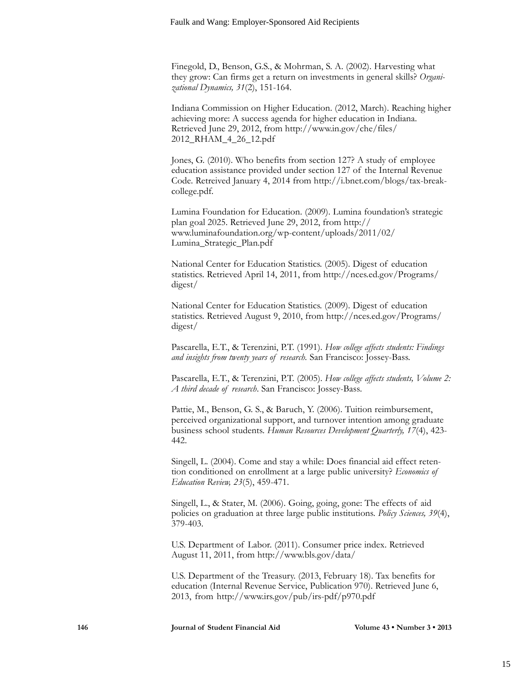Finegold, D., Benson, G.S., & Mohrman, S. A. (2002). Harvesting what they grow: Can firms get a return on investments in general skills? *Organizational Dynamics, 31*(2), 151-164.

Indiana Commission on Higher Education. (2012, March). Reaching higher achieving more: A success agenda for higher education in Indiana. Retrieved June 29, 2012, from http://www.in.gov/che/files/ 2012\_RHAM\_4\_26\_12.pdf

Jones, G. (2010). Who benefits from section 127? A study of employee education assistance provided under section 127 of the Internal Revenue Code. Retreived January 4, 2014 from http://i.bnet.com/blogs/tax-breakcollege.pdf.

Lumina Foundation for Education. (2009). Lumina foundation's strategic plan goal 2025. Retrieved June 29, 2012, from http:// www.luminafoundation.org/wp-content/uploads/2011/02/ Lumina\_Strategic\_Plan.pdf

National Center for Education Statistics. (2005). Digest of education statistics. Retrieved April 14, 2011, from http://nces.ed.gov/Programs/ digest/

National Center for Education Statistics. (2009). Digest of education statistics. Retrieved August 9, 2010, from http://nces.ed.gov/Programs/ digest/

Pascarella, E.T., & Terenzini, P.T. (1991). *How college affects students: Findings and insights from twenty years of research.* San Francisco: Jossey-Bass.

Pascarella, E.T., & Terenzini, P.T. (2005). *How college affects students, Volume 2: A third decade of research*. San Francisco: Jossey-Bass.

Pattie, M., Benson, G. S., & Baruch, Y. (2006). Tuition reimbursement, perceived organizational support, and turnover intention among graduate business school students. *Human Resources Development Quarterly, 17*(4), 423- 442.

Singell, L. (2004). Come and stay a while: Does financial aid effect retention conditioned on enrollment at a large public university? *Economics of Education Review, 23*(5), 459-471.

Singell, L., & Stater, M. (2006). Going, going, gone: The effects of aid policies on graduation at three large public institutions. *Policy Sciences, 39*(4), 379-403.

U.S. Department of Labor. (2011). Consumer price index. Retrieved August 11, 2011, from http://www.bls.gov/data/

U.S. Department of the Treasury. (2013, February 18). Tax benefits for education (Internal Revenue Service, Publication 970). Retrieved June 6, 2013, from http://www.irs.gov/pub/irs-pdf/p970.pdf